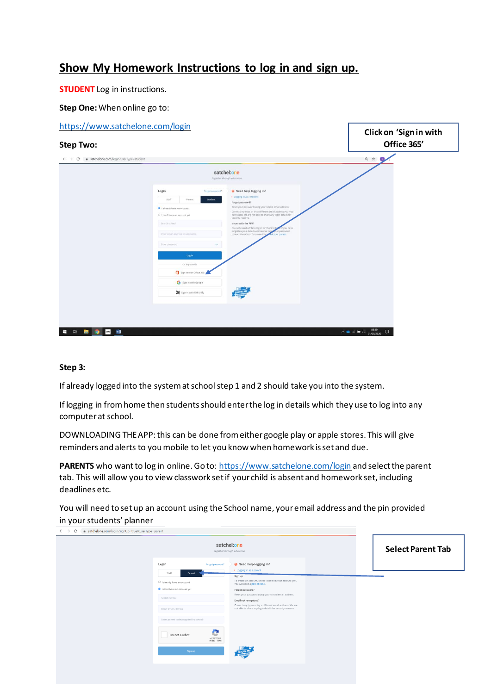## **Show My Homework Instructions to log in and sign up.**

**STUDENT** Log in instructions.

**Step One:**When online go to:

| https://www.satchelone.com/login<br><b>Step Two:</b>                    |                                                            |                  |                                                                                                                                                                                  | Click on 'Sign in with<br>Office 365' |  |  |
|-------------------------------------------------------------------------|------------------------------------------------------------|------------------|----------------------------------------------------------------------------------------------------------------------------------------------------------------------------------|---------------------------------------|--|--|
| a satchelone.com/login?userType=student<br>$\leftarrow$ $\rightarrow$ G |                                                            |                  |                                                                                                                                                                                  | 日育<br>υ,                              |  |  |
|                                                                         | satchel:one<br>Together through education                  |                  |                                                                                                                                                                                  |                                       |  |  |
|                                                                         | Login                                                      | Forgot password? | Reed help logging in?                                                                                                                                                            |                                       |  |  |
|                                                                         | Staff<br>Parent                                            | Student          | . Logging in as a student<br>Forgot password?                                                                                                                                    |                                       |  |  |
|                                                                         | I siready have an account<br>O I don't have an account yet |                  | Reset your password using your school email address.<br>Correct any typos or try a different email address you may<br>have used. We are not able to share any login details for  |                                       |  |  |
|                                                                         | Search school.                                             |                  | security reasons.<br>Issues with the PIN?                                                                                                                                        |                                       |  |  |
|                                                                         | Enter email address or username                            |                  | You only need a PIN to log in for the first tip<br>If you have<br>forgotten your details and cannot resp<br>sur password,<br>contact the school for a new PIN<br>ik your parent. |                                       |  |  |
|                                                                         | Onter password                                             | $\circ$          |                                                                                                                                                                                  |                                       |  |  |
|                                                                         | Log in                                                     |                  |                                                                                                                                                                                  |                                       |  |  |
|                                                                         | Or log in with:                                            |                  |                                                                                                                                                                                  |                                       |  |  |
|                                                                         | Sign in with Office 365                                    |                  |                                                                                                                                                                                  |                                       |  |  |
|                                                                         | G Sign in with Google                                      |                  |                                                                                                                                                                                  |                                       |  |  |
|                                                                         | <b>BM</b> sign in with RM Unity                            |                  |                                                                                                                                                                                  |                                       |  |  |
|                                                                         |                                                            |                  |                                                                                                                                                                                  |                                       |  |  |
|                                                                         |                                                            |                  |                                                                                                                                                                                  |                                       |  |  |
|                                                                         |                                                            |                  |                                                                                                                                                                                  |                                       |  |  |
| snes<br>w<br>н<br>$\frac{1}{2}$<br>圖<br>$\bullet$                       |                                                            |                  |                                                                                                                                                                                  | $\sim$ 6 (4 1 21/09/2020)<br>$\Box$   |  |  |

## **Step 3:**

If already logged into the system at school step 1 and 2 should take you into the system.

If logging in from home then students should enter the log in details which they use to log into any computer at school.

DOWNLOADING THE APP: this can be done from either google play or apple stores. This will give reminders and alerts to you mobile to let you know when homework is set and due.

PARENTS who want to log in online. Go to: https://www.satchelone.com/login and select the parent tab. This will allow you to view classwork set if your child is absent and homework set, including deadlines etc.

You will need to set up an account using the School name, your email address and the pin provided in your students' planner

| satchel:one<br>Together through education |                                   |                                                                                                                         |  | <b>Select Parent Tab</b> |
|-------------------------------------------|-----------------------------------|-------------------------------------------------------------------------------------------------------------------------|--|--------------------------|
| Login                                     | Forgot password?                  | Reed help logging in?                                                                                                   |  |                          |
| Staff<br>Parent                           |                                   | Elogging in as a parent<br>Sign up                                                                                      |  |                          |
| O I already have an account               |                                   | To create an account, select 'I don't have an account yet'.<br>You will need a parent code.                             |  |                          |
| I don't have an account yet               |                                   | Forgot password?                                                                                                        |  |                          |
| Search school                             |                                   | Reset your password using your school email address.<br>Email not recognized?                                           |  |                          |
| Enter email address                       |                                   | Correct any typos or try a different email address. We are<br>not able to share any login details for security reasons. |  |                          |
| Enter parent code (supplied by school)    |                                   |                                                                                                                         |  |                          |
| I'm not a robot                           | e<br>reCAPTCHA<br>Privacy - Terms |                                                                                                                         |  |                          |
| Sign up                                   |                                   |                                                                                                                         |  |                          |